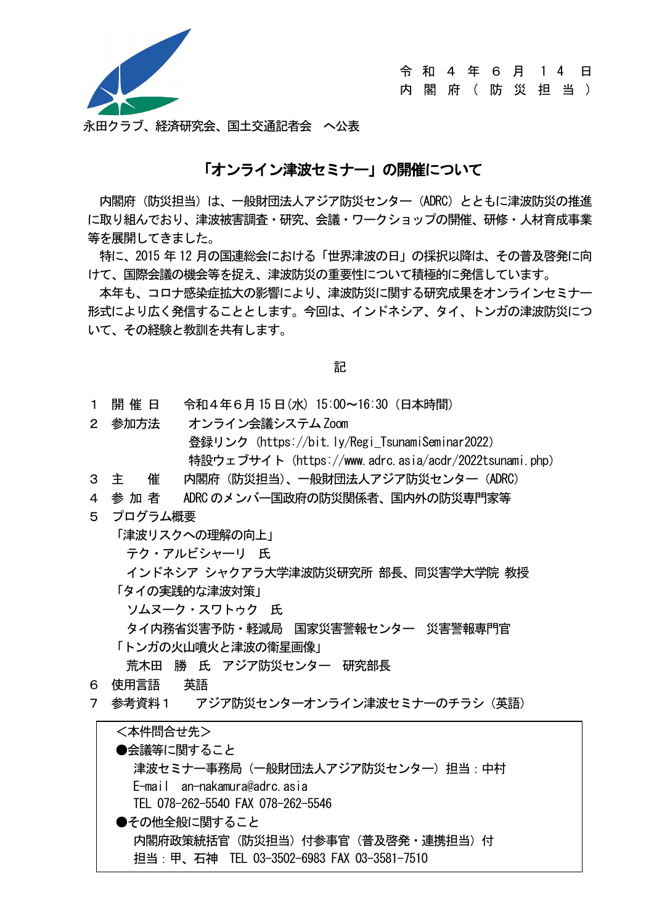

令 和 4 年 6 月 1 4 日

内 閣 府 ( 防 災 担 当 )

永田クラブ、経済研究会、国土交通記者会 へ公表

#### 「オンライン津波セミナー」の開催について

内閣府(防災担当)は、一般財団法人アジア防災センター(ADRC)とともに津波防災の推進 に取り組んでおり、津波被害調査・研究、会議・ワークショップの開催、研修・人材育成事業 等を展開してきました。

特に、2015 年 12 月の国連総会における「世界津波の日」の採択以降は、その普及啓発に向 けて、国際会議の機会等を捉え、津波防災の重要性について積極的に発信しています。

本年も、コロナ感染症拡大の影響により、津波防災に関する研究成果をオンラインセミナー 形式により広く発信することとします。今回は、インドネシア、タイ、トンガの津波防災につ いて、その経験と教訓を共有します。

記

- 1 開 催 日 令和4年6月15 日(水) 15:00~16:30(日本時間)
- 2 参加方法 オンライン会議システム Zoom 登録リンク (https://bit.ly/Regi TsunamiSeminar2022) 特設ウェブサイト(https://www.adrc.asia/acdr/2022tsunami.php)
- 3 主 催 内閣府(防災担当)、一般財団法人アジア防災センター(ADRC)
- 4 参 加 者 ADRC のメンバー国政府の防災関係者、国内外の防災専門家等
- 5 プログラム概要
	- 「津波リスクへの理解の向上」
		- テク・アルビシャーリ 氏
	- インドネシア シャクアラ大学津波防災研究所 部長、同災害学大学院 教授 「タイの実践的な津波対策」
		- ソムヌーク・スワトゥク 氏
	- タイ内務省災害予防・軽減局 国家災害警報センター 災害警報専門官
	- 「トンガの火山噴火と津波の衛星画像」

荒木田 勝 氏 アジア防災センター 研究部長

- 6 使用言語 英語
- 7 参考資料1 アジア防災センターオンライン津波セミナーのチラシ(英語)

| <本件問合せ先>                                  |  |
|-------------------------------------------|--|
| ●会議等に関すること                                |  |
| 津波セミナ―事務局(一般財団法人アジア防災センター)担当 : 中村         |  |
| E-mail an-nakamura@adrc.asia              |  |
| TEL 078-262-5540 FAX 078-262-5546         |  |
| ●その他全般に関すること                              |  |
| 内閣府政策統括官(防災担当)付参事官(普及啓発・連携担当)付            |  |
| 担当:甲、石神 TEL 03-3502-6983 FAX 03-3581-7510 |  |